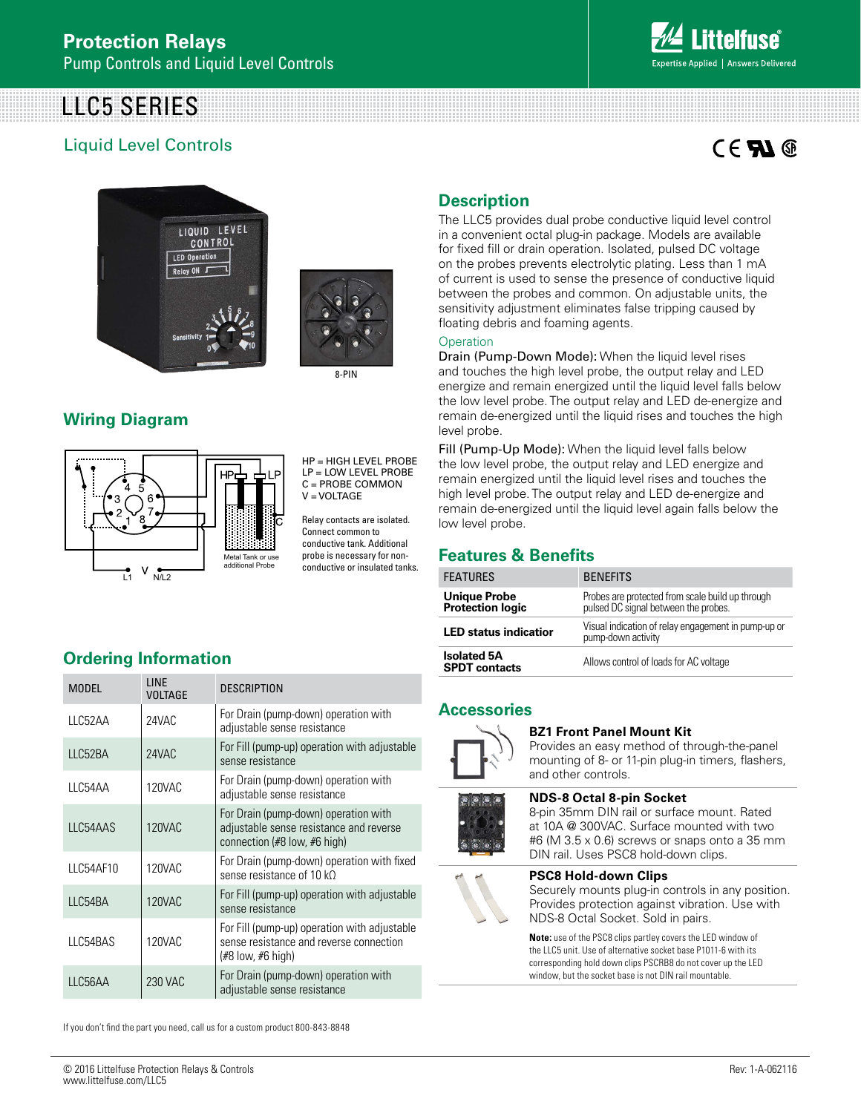# LLC5 SERIES

# Liquid Level Controls

# $C \in \mathbf{F}$   $\mathbf{M} \circledcirc$





8-PIN

# **Wiring Diagram**



HP = HIGH LEVEL PROBE LP = LOW LEVEL PROBE  $C = PROBE$  COMMON V = VOLTAGE

Relay contacts are isolated. Connect common to conductive tank. Additional probe is necessary for nonconductive or insulated tanks.

# **Ordering Information**

| <b>MODEL</b> | <b>LINE</b><br><b>VOLTAGE</b> | <b>DESCRIPTION</b>                                                                                              |
|--------------|-------------------------------|-----------------------------------------------------------------------------------------------------------------|
| LLC52AA      | 24VAC                         | For Drain (pump-down) operation with<br>adjustable sense resistance                                             |
| LLC52BA      | 24VAC                         | For Fill (pump-up) operation with adjustable<br>sense resistance                                                |
| LLC54AA      | 120VAC                        | For Drain (pump-down) operation with<br>adjustable sense resistance                                             |
| LLC54AAS     | <b>120VAC</b>                 | For Drain (pump-down) operation with<br>adjustable sense resistance and reverse<br>connection (#8 low, #6 high) |
| LLC54AF10    | 120VAC                        | For Drain (pump-down) operation with fixed<br>sense resistance of $10 kO$                                       |
| LLC54BA      | <b>120VAC</b>                 | For Fill (pump-up) operation with adjustable<br>sense resistance                                                |
| LLC54BAS     | 120VAC                        | For Fill (pump-up) operation with adjustable<br>sense resistance and reverse connection<br>(#8 low, #6 high)    |
| LLC56AA      | 230 VAC                       | For Drain (pump-down) operation with<br>adjustable sense resistance                                             |

# **Description**

The LLC5 provides dual probe conductive liquid level control in a convenient octal plug-in package. Models are available for fixed fill or drain operation. Isolated, pulsed DC voltage on the probes prevents electrolytic plating. Less than 1 mA of current is used to sense the presence of conductive liquid between the probes and common. On adjustable units, the sensitivity adjustment eliminates false tripping caused by floating debris and foaming agents.

#### **Operation**

Drain (Pump-Down Mode): When the liquid level rises and touches the high level probe, the output relay and LED energize and remain energized until the liquid level falls below the low level probe. The output relay and LED de-energize and remain de-energized until the liquid rises and touches the high level probe.

Fill (Pump-Up Mode): When the liquid level falls below the low level probe, the output relay and LED energize and remain energized until the liquid level rises and touches the high level probe. The output relay and LED de-energize and remain de-energized until the liquid level again falls below the low level probe.

## **Features & Benefits**

| <b>FEATURES</b>                                | <b>BENEFITS</b>                                                                          |
|------------------------------------------------|------------------------------------------------------------------------------------------|
| <b>Unique Probe</b><br><b>Protection logic</b> | Probes are protected from scale build up through<br>pulsed DC signal between the probes. |
| <b>LED status indicatior</b>                   | Visual indication of relay engagement in pump-up or<br>pump-down activity                |
| <b>Isolated 5A</b><br><b>SPDT</b> contacts     | Allows control of loads for AC voltage                                                   |

### **Accessories**



#### **BZ1 Front Panel Mount Kit**

Provides an easy method of through-the-panel mounting of 8- or 11-pin plug-in timers, flashers, and other controls.



8-pin 35mm DIN rail or surface mount. Rated at 10A @ 300VAC. Surface mounted with two #6 (M 3.5 x 0.6) screws or snaps onto a 35 mm

#### DIN rail. Uses PSC8 hold-down clips.

**NDS-8 Octal 8-pin Socket** 



**PSC8 Hold-down Clips**  Securely mounts plug-in controls in any position. Provides protection against vibration. Use with NDS-8 Octal Socket. Sold in pairs.

**Note:** use of the PSC8 clips partley covers the LED window of the LLC5 unit. Use of alternative socket base P1011-6 with its corresponding hold down clips PSCRB8 do not cover up the LED window, but the socket base is not DIN rail mountable.

If you don't find the part you need, call us for a custom product 800-843-8848